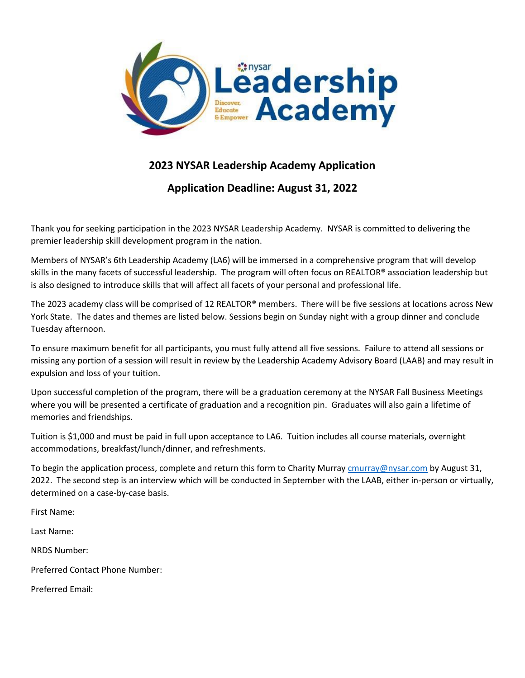

## **2023 NYSAR Leadership Academy Application**

**Application Deadline: August 31, 2022**

Thank you for seeking participation in the 2023 NYSAR Leadership Academy. NYSAR is committed to delivering the premier leadership skill development program in the nation.

Members of NYSAR's 6th Leadership Academy (LA6) will be immersed in a comprehensive program that will develop skills in the many facets of successful leadership. The program will often focus on REALTOR® association leadership but is also designed to introduce skills that will affect all facets of your personal and professional life.

The 2023 academy class will be comprised of 12 REALTOR® members. There will be five sessions at locations across New York State. The dates and themes are listed below. Sessions begin on Sunday night with a group dinner and conclude Tuesday afternoon.

To ensure maximum benefit for all participants, you must fully attend all five sessions. Failure to attend all sessions or missing any portion of a session will result in review by the Leadership Academy Advisory Board (LAAB) and may result in expulsion and loss of your tuition.

Upon successful completion of the program, there will be a graduation ceremony at the NYSAR Fall Business Meetings where you will be presented a certificate of graduation and a recognition pin. Graduates will also gain a lifetime of memories and friendships.

Tuition is \$1,000 and must be paid in full upon acceptance to LA6. Tuition includes all course materials, overnight accommodations, breakfast/lunch/dinner, and refreshments.

To begin the application process, complete and return this form to Charity Murray *cmurray@nysar.com* by August 31, 2022. The second step is an interview which will be conducted in September with the LAAB, either in-person or virtually, determined on a case-by-case basis.

First Name:

Last Name:

NRDS Number:

Preferred Contact Phone Number:

Preferred Email: